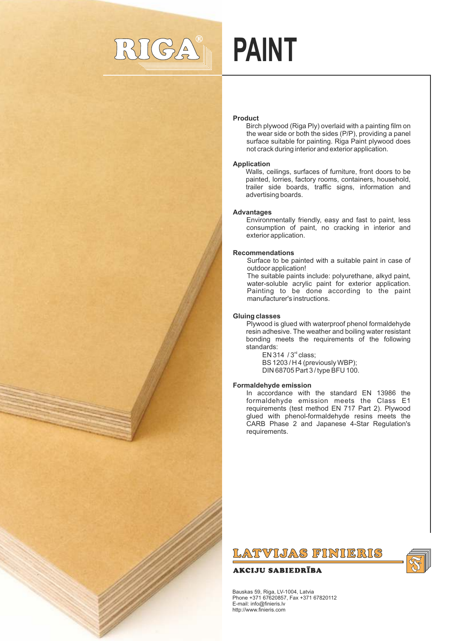

# **PAINT**

# **Product**

Birch plywood (Riga Ply) overlaid with a painting film on the wear side or both the sides (P/P), providing a panel surface suitable for painting. Riga Paint plywood does not crack during interior and exterior application.

# **Application**

Walls, ceilings, surfaces of furniture, front doors to be painted, lorries, factory rooms, containers, household, trailer side boards, traffic signs, information and advertising boards.

# **Advantages**

Environmentally friendly, easy and fast to paint, less consumption of paint, no cracking in interior and exterior application.

# **Recommendations**

Surface to be painted with a suitable paint in case of outdoor application!

The suitable paints include: polyurethane, alkyd paint, water-soluble acrylic paint for exterior application. Painting to be done according to the paint manufacturer's instructions.

# **Gluing classes**

Plywood is glued with waterproof phenol formaldehyde resin adhesive. The weather and boiling water resistant bonding meets the requirements of the following standards:

EN 314  $/3<sup>rd</sup>$  class; BS 1203 / H 4 (previously WBP); DIN 68705 Part 3 / type BFU 100.

# **Formaldehyde emission**

In accordance with the standard EN 13986 the formaldehyde emission meets the Class E1 requirements (test method EN 717 Part 2). Plywood glued with phenol-formaldehyde resins meets the CARB Phase 2 and Japanese 4-Star Regulation's requirements.

# LATVIJAS FINIERIS

# **AKCIJU SABIEDRĪBA**



Bauskas 59, Riga, LV-1004, Latvia Phone +371 67620857, Fax +371 67820112 E-mail: info@finieris.lv http://www.finieris.com